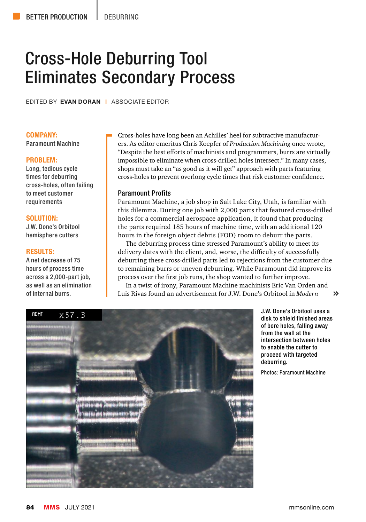# Cross-Hole Deburring Tool Eliminates Secondary Process

EDITED BY EVAN DORAN | ASSOCIATE EDITOR

#### COMPANY:

Paramount Machine

#### PROBLEM:

Long, tedious cycle times for deburring cross-holes, often failing to meet customer requirements

#### SOLUTION:

J.W. Done's Orbitool hemisphere cutters

#### RESULTS:

A net decrease of 75 hours of process time across a 2,000-part job, as well as an elimination of internal burrs.

Cross-holes have long been an Achilles' heel for subtractive manufacturers. As editor emeritus Chris Koepfer of *Production Machining* once wrote, "Despite the best efforts of machinists and programmers, burrs are virtually impossible to eliminate when cross-drilled holes intersect." In many cases, shops must take an "as good as it will get" approach with parts featuring cross-holes to prevent overlong cycle times that risk customer confidence.

### Paramount Profits

Paramount Machine, a job shop in Salt Lake City, Utah, is familiar with this dilemma. During one job with 2,000 parts that featured cross-drilled holes for a commercial aerospace application, it found that producing the parts required 185 hours of machine time, with an additional 120 hours in the foreign object debris (FOD) room to deburr the parts.

The deburring process time stressed Paramount's ability to meet its delivery dates with the client, and, worse, the difficulty of successfully deburring these cross-drilled parts led to rejections from the customer due to remaining burrs or uneven deburring. While Paramount did improve its process over the first job runs, the shop wanted to further improve.

In a twist of irony, Paramount Machine machinists Eric Van Orden and Luis Rivas found an advertisement for J.W. Done's Orbitool in *Modern*   $\rightarrow$ 



J.W. Done's Orbitool uses a disk to shield finished areas of bore holes, falling away from the wall at the intersection between holes to enable the cutter to proceed with targeted deburring.

Photos: Paramount Machine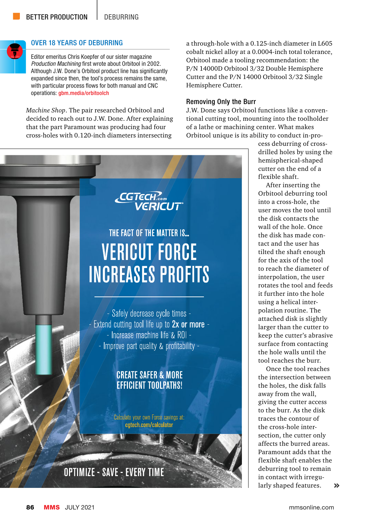

## OVER 18 YEARS OF DEBURRING

Editor emeritus Chris Koepfer of our sister magazine *Production Machining* first wrote about Orbitool in 2002. Although J.W. Done's Orbitool product line has significantly expanded since then, the tool's process remains the same, with particular process flows for both manual and CNC operations: gbm.media/orbitoolch

*Machine Shop*. The pair researched Orbitool and decided to reach out to J.W. Done. After explaining that the part Paramount was producing had four cross-holes with 0.120-inch diameters intersecting

a through-hole with a 0.125-inch diameter in L605 cobalt nickel alloy at a 0.0004-inch total tolerance, Orbitool made a tooling recommendation: the P/N 14000D Orbitool 3/32 Double Hemisphere Cutter and the P/N 14000 Orbitool 3/32 Single Hemisphere Cutter.

## Removing Only the Burr

J.W. Done says Orbitool functions like a conventional cutting tool, mounting into the toolholder of a lathe or machining center. What makes Orbitool unique is its ability to conduct in-pro-



cess deburring of crossdrilled holes by using the hemispherical-shaped cutter on the end of a flexible shaft.

After inserting the Orbitool deburring tool into a cross-hole, the user moves the tool until the disk contacts the wall of the hole. Once the disk has made contact and the user has tilted the shaft enough for the axis of the tool to reach the diameter of interpolation, the user rotates the tool and feeds it further into the hole using a helical interpolation routine. The attached disk is slightly larger than the cutter to keep the cutter's abrasive surface from contacting the hole walls until the tool reaches the burr.

Once the tool reaches the intersection between the holes, the disk falls away from the wall, giving the cutter access to the burr. As the disk traces the contour of the cross-hole intersection, the cutter only affects the burred areas. Paramount adds that the flexible shaft enables the deburring tool to remain in contact with irregularly shaped features.  $\lambda$